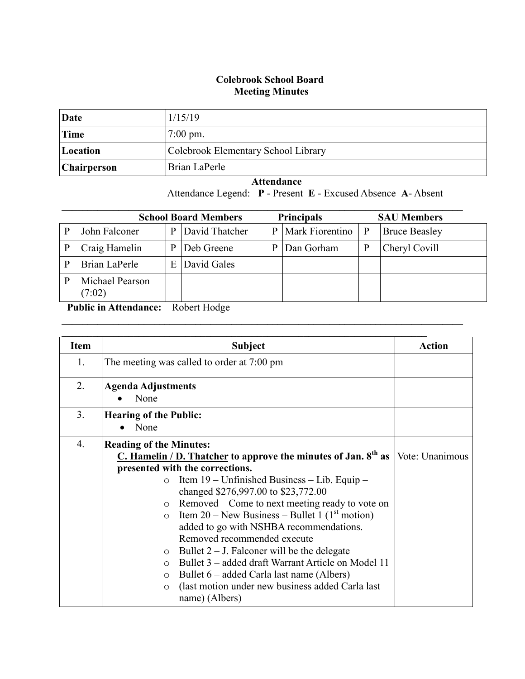## **Colebrook School Board Meeting Minutes**

| Date        | 1/15/19                             |
|-------------|-------------------------------------|
| Time        | $7:00 \text{ pm}$ .                 |
| Location    | Colebrook Elementary School Library |
| Chairperson | Brian LaPerle                       |

 **Attendance** Attendance Legend: **P** - Present **E** - Excused Absence **A**- Absent

|   | <b>School Board Members</b> |   |                | <b>Principals</b> |                 | <b>SAU Members</b> |                      |
|---|-----------------------------|---|----------------|-------------------|-----------------|--------------------|----------------------|
| P | John Falconer               | P | David Thatcher | P                 | Mark Fiorentino | $\mathbf{P}$       | <b>Bruce Beasley</b> |
|   | Craig Hamelin               | p | Deb Greene     | p                 | Dan Gorham      | P                  | Cheryl Covill        |
|   | Brian LaPerle               | E | David Gales    |                   |                 |                    |                      |
| P | Michael Pearson<br>(7:02)   |   |                |                   |                 |                    |                      |

 $\mathcal{L}_\mathcal{L} = \mathcal{L}_\mathcal{L} = \mathcal{L}_\mathcal{L} = \mathcal{L}_\mathcal{L} = \mathcal{L}_\mathcal{L} = \mathcal{L}_\mathcal{L} = \mathcal{L}_\mathcal{L} = \mathcal{L}_\mathcal{L} = \mathcal{L}_\mathcal{L} = \mathcal{L}_\mathcal{L} = \mathcal{L}_\mathcal{L} = \mathcal{L}_\mathcal{L} = \mathcal{L}_\mathcal{L} = \mathcal{L}_\mathcal{L} = \mathcal{L}_\mathcal{L} = \mathcal{L}_\mathcal{L} = \mathcal{L}_\mathcal{L}$ 

 **Public in Attendance:** Robert Hodge

| <b>Item</b> | <b>Subject</b>                                                                                                                                                                                                                                                                                                                                                                                                                                                                                                                                                                                                                                                                                                        | <b>Action</b>   |
|-------------|-----------------------------------------------------------------------------------------------------------------------------------------------------------------------------------------------------------------------------------------------------------------------------------------------------------------------------------------------------------------------------------------------------------------------------------------------------------------------------------------------------------------------------------------------------------------------------------------------------------------------------------------------------------------------------------------------------------------------|-----------------|
| 1.          | The meeting was called to order at 7:00 pm                                                                                                                                                                                                                                                                                                                                                                                                                                                                                                                                                                                                                                                                            |                 |
| 2.          | <b>Agenda Adjustments</b><br>None                                                                                                                                                                                                                                                                                                                                                                                                                                                                                                                                                                                                                                                                                     |                 |
| 3.          | <b>Hearing of the Public:</b><br>None                                                                                                                                                                                                                                                                                                                                                                                                                                                                                                                                                                                                                                                                                 |                 |
| 4.          | <b>Reading of the Minutes:</b><br>C. Hamelin / D. Thatcher to approve the minutes of Jan. $8th$ as<br>presented with the corrections.<br>Item $19$ – Unfinished Business – Lib. Equip –<br>$\circ$<br>changed \$276,997.00 to \$23,772.00<br>$\circ$ Removed – Come to next meeting ready to vote on<br>Item 20 – New Business – Bullet 1 $(1st motion)$<br>$\circ$<br>added to go with NSHBA recommendations.<br>Removed recommended execute<br>$\circ$ Bullet 2 – J. Falconer will be the delegate<br>Bullet 3 – added draft Warrant Article on Model 11<br>$\bigcirc$<br>Bullet 6 – added Carla last name (Albers)<br>$\circ$<br>(last motion under new business added Carla last)<br>$\bigcirc$<br>name) (Albers) | Vote: Unanimous |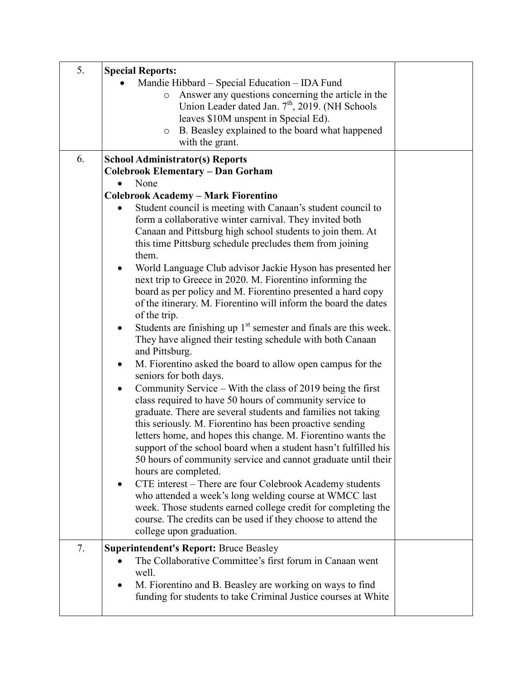| 5. | <b>Special Reports:</b>                                                                                                |  |
|----|------------------------------------------------------------------------------------------------------------------------|--|
|    | Mandie Hibbard – Special Education – IDA Fund<br>Answer any questions concerning the article in the<br>$\circ$         |  |
|    | Union Leader dated Jan. 7 <sup>th</sup> , 2019. (NH Schools                                                            |  |
|    | leaves \$10M unspent in Special Ed).                                                                                   |  |
|    | B. Beasley explained to the board what happened<br>$\circ$                                                             |  |
|    | with the grant.                                                                                                        |  |
| 6. | <b>School Administrator(s) Reports</b>                                                                                 |  |
|    | <b>Colebrook Elementary - Dan Gorham</b>                                                                               |  |
|    | None                                                                                                                   |  |
|    | <b>Colebrook Academy - Mark Fiorentino</b>                                                                             |  |
|    | Student council is meeting with Canaan's student council to                                                            |  |
|    | form a collaborative winter carnival. They invited both                                                                |  |
|    | Canaan and Pittsburg high school students to join them. At<br>this time Pittsburg schedule precludes them from joining |  |
|    | them.                                                                                                                  |  |
|    | World Language Club advisor Jackie Hyson has presented her                                                             |  |
|    | next trip to Greece in 2020. M. Fiorentino informing the                                                               |  |
|    | board as per policy and M. Fiorentino presented a hard copy                                                            |  |
|    | of the itinerary. M. Fiorentino will inform the board the dates                                                        |  |
|    | of the trip.                                                                                                           |  |
|    | Students are finishing up $1st$ semester and finals are this week.<br>$\bullet$                                        |  |
|    | They have aligned their testing schedule with both Canaan                                                              |  |
|    | and Pittsburg.                                                                                                         |  |
|    | M. Fiorentino asked the board to allow open campus for the<br>$\bullet$                                                |  |
|    | seniors for both days.                                                                                                 |  |
|    | Community Service – With the class of 2019 being the first<br>٠                                                        |  |
|    | class required to have 50 hours of community service to                                                                |  |
|    | graduate. There are several students and families not taking                                                           |  |
|    | this seriously. M. Fiorentino has been proactive sending                                                               |  |
|    | letters home, and hopes this change. M. Fiorentino wants the                                                           |  |
|    | support of the school board when a student hasn't fulfilled his                                                        |  |
|    | 50 hours of community service and cannot graduate until their                                                          |  |
|    | hours are completed.                                                                                                   |  |
|    | CTE interest - There are four Colebrook Academy students                                                               |  |
|    | who attended a week's long welding course at WMCC last                                                                 |  |
|    | week. Those students earned college credit for completing the                                                          |  |
|    | course. The credits can be used if they choose to attend the<br>college upon graduation.                               |  |
|    |                                                                                                                        |  |
| 7. | <b>Superintendent's Report: Bruce Beasley</b>                                                                          |  |
|    | The Collaborative Committee's first forum in Canaan went                                                               |  |
|    | well.                                                                                                                  |  |
|    | M. Fiorentino and B. Beasley are working on ways to find                                                               |  |
|    | funding for students to take Criminal Justice courses at White                                                         |  |
|    |                                                                                                                        |  |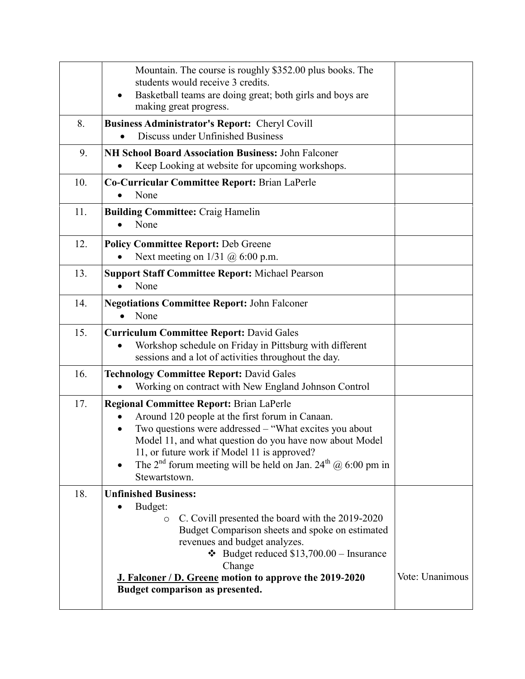|     | Mountain. The course is roughly \$352.00 plus books. The<br>students would receive 3 credits.<br>Basketball teams are doing great; both girls and boys are<br>$\bullet$<br>making great progress.                                                                                                                                                                               |                 |
|-----|---------------------------------------------------------------------------------------------------------------------------------------------------------------------------------------------------------------------------------------------------------------------------------------------------------------------------------------------------------------------------------|-----------------|
| 8.  | <b>Business Administrator's Report: Cheryl Covill</b><br>Discuss under Unfinished Business                                                                                                                                                                                                                                                                                      |                 |
| 9.  | <b>NH School Board Association Business: John Falconer</b><br>Keep Looking at website for upcoming workshops.                                                                                                                                                                                                                                                                   |                 |
| 10. | Co-Curricular Committee Report: Brian LaPerle<br>None                                                                                                                                                                                                                                                                                                                           |                 |
| 11. | <b>Building Committee: Craig Hamelin</b><br>None                                                                                                                                                                                                                                                                                                                                |                 |
| 12. | <b>Policy Committee Report: Deb Greene</b><br>Next meeting on $1/31$ ( $\partial$ ) 6:00 p.m.                                                                                                                                                                                                                                                                                   |                 |
| 13. | <b>Support Staff Committee Report: Michael Pearson</b><br>None                                                                                                                                                                                                                                                                                                                  |                 |
| 14. | <b>Negotiations Committee Report: John Falconer</b><br>None                                                                                                                                                                                                                                                                                                                     |                 |
| 15. | <b>Curriculum Committee Report: David Gales</b><br>Workshop schedule on Friday in Pittsburg with different<br>sessions and a lot of activities throughout the day.                                                                                                                                                                                                              |                 |
| 16. | <b>Technology Committee Report: David Gales</b><br>Working on contract with New England Johnson Control                                                                                                                                                                                                                                                                         |                 |
| 17. | <b>Regional Committee Report: Brian LaPerle</b><br>Around 120 people at the first forum in Canaan.<br>Two questions were addressed – "What excites you about<br>Model 11, and what question do you have now about Model<br>11, or future work if Model 11 is approved?<br>The 2 <sup>nd</sup> forum meeting will be held on Jan. 24 <sup>th</sup> @ 6:00 pm in<br>Stewartstown. |                 |
| 18. | <b>Unfinished Business:</b><br>Budget:<br>C. Covill presented the board with the 2019-2020<br>$\circ$<br>Budget Comparison sheets and spoke on estimated<br>revenues and budget analyzes.<br>$\div$ Budget reduced \$13,700.00 – Insurance<br>Change<br>J. Falconer / D. Greene motion to approve the 2019-2020<br>Budget comparison as presented.                              | Vote: Unanimous |